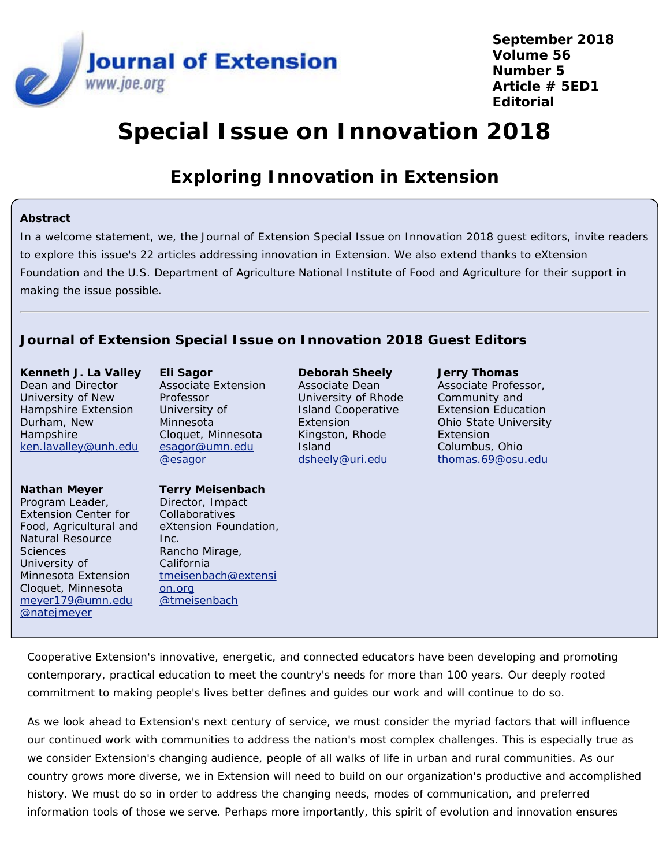

**September 2018 Volume 56 Number 5 Article # 5ED1 Editorial**

# **Special Issue on Innovation 2018**

## **Exploring Innovation in Extension**

#### **Abstract**

In a welcome statement, we, the *Journal of Extension* Special Issue on Innovation 2018 guest editors, invite readers to explore this issue's 22 articles addressing innovation in Extension. We also extend thanks to eXtension Foundation and the U.S. Department of Agriculture National Institute of Food and Agriculture for their support in making the issue possible.

### *Journal of Extension* **Special Issue on Innovation 2018 Guest Editors**

**Kenneth J. La Valley** Dean and Director University of New Hampshire Extension Durham, New **Hampshire** [ken.lavalley@unh.edu](mailto:ken.lavalley@unh.edu)

**Nathan Meyer** Program Leader, Extension Center for Food, Agricultural and Natural Resource **Sciences** University of Minnesota Extension Cloquet, Minnesota [meyer179@umn.edu](mailto:meyer179@umn.edu) [@natejmeyer](https://twitter.com/natejmeyer)

**Eli Sagor** Associate Extension Professor University of Minnesota Cloquet, Minnesota [esagor@umn.edu](mailto:esagor@umn.edu) [@esagor](https://twitter.com/esagor)

#### **Terry Meisenbach**

Director, Impact Collaboratives eXtension Foundation, Inc. Rancho Mirage, California [tmeisenbach@extensi](mailto:tmeisenbach@extension.org) [on.org](mailto:tmeisenbach@extension.org) [@tmeisenbach](https://twitter.com/tmeisenbach)

**Deborah Sheely** Associate Dean University of Rhode Island Cooperative Extension Kingston, Rhode Island [dsheely@uri.edu](mailto:dsheely@uri.edu)

**Jerry Thomas** Associate Professor, Community and Extension Education Ohio State University Extension Columbus, Ohio [thomas.69@osu.edu](mailto:thomas.69@osu.edu)

Cooperative Extension's innovative, energetic, and connected educators have been developing and promoting contemporary, practical education to meet the country's needs for more than 100 years. Our deeply rooted commitment to making people's lives better defines and guides our work and will continue to do so.

As we look ahead to Extension's next century of service, we must consider the myriad factors that will influence our continued work with communities to address the nation's most complex challenges. This is especially true as we consider Extension's changing audience, people of all walks of life in urban and rural communities. As our country grows more diverse, we in Extension will need to build on our organization's productive and accomplished history. We must do so in order to address the changing needs, modes of communication, and preferred information tools of those we serve. Perhaps more importantly, this spirit of evolution and innovation ensures